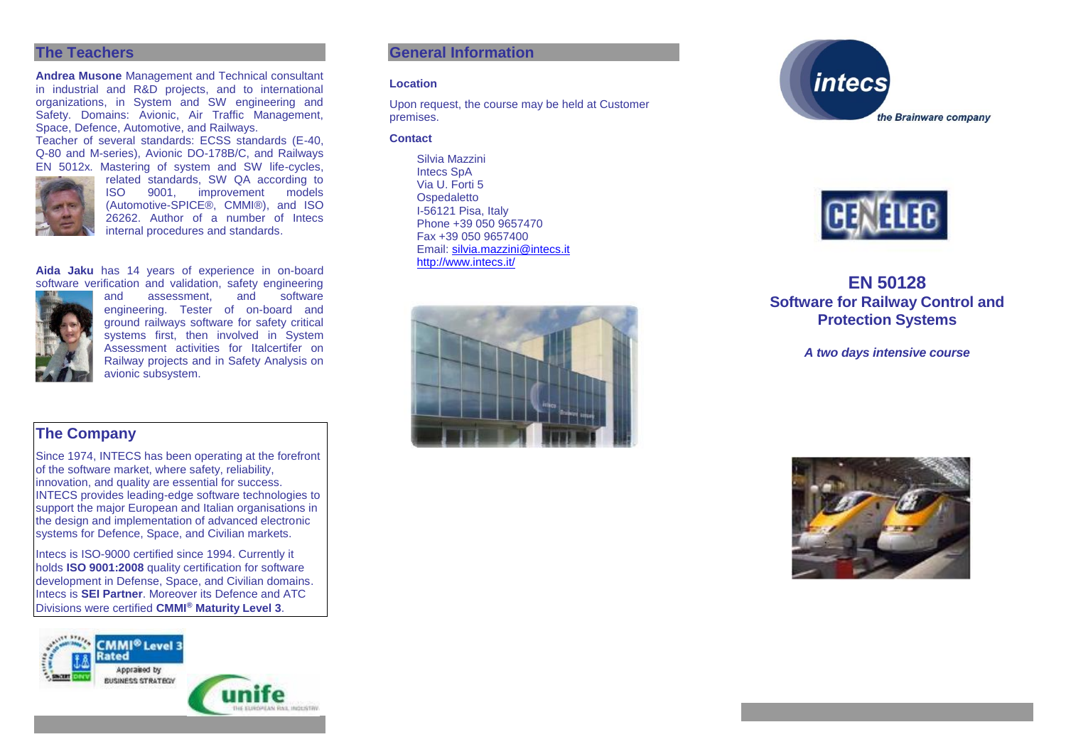### **The Teachers**

**Andrea Musone** Management and Technical consultant in industrial and R&D projects, and to international organizations, in System and SW engineering and Safety. Domains: Avionic, Air Traffic Management, Space, Defence, Automotive, and Railways.

Teacher of several standards: ECSS standards (E-40, Q-80 and M-series), Avionic DO-178B/C, and Railways



EN 5012x. Mastering of system and SW life-cycles, related standards, SW QA according to<br>ISO 9001. improvement models improvement models (Automotive-SPICE®, CMMI®), and ISO 26262. Author of a number of Intecs internal procedures and standards.

**Aida Jaku** has 14 years of experience in on-board software verification and validation, safety engineering



and assessment, and software engineering. Tester of on-board and ground railways software for safety critical systems first, then involved in System Assessment activities for Italcertifer on Railway projects and in Safety Analysis on avionic subsystem.

# **The Company**

Since 1974, INTECS has been operating at the forefront of the software market, where safety, reliability, innovation, and quality are essential for success. INTECS provides leading-edge software technologies to support the major European and Italian organisations in the design and implementation of advanced electronic systems for Defence, Space, and Civilian markets.

Intecs is ISO-9000 certified since 1994. Currently it holds **ISO 9001:2008** quality certification for software development in Defense, Space, and Civilian domains. Intecs is **SEI Partner**. Moreover its Defence and ATC Divisions were certified **CMMI® Maturity Level 3**.



## **General Information**

#### **Location**

Upon request, the course may be held at Customer premises.

#### **Contact**

Silvia Mazzini Intecs SpA Via U. Forti 5 **Ospedaletto** I-56121 Pisa, Italy Phone +39 050 9657470 Fax +39 050 9657400 Email: [silvia.mazzini@intecs.it](mailto:andrea.musone@intecs.it) <http://www.intecs.it/>







# **EN 50128 Software for Railway Control and Protection Systems**

*A two days intensive course*